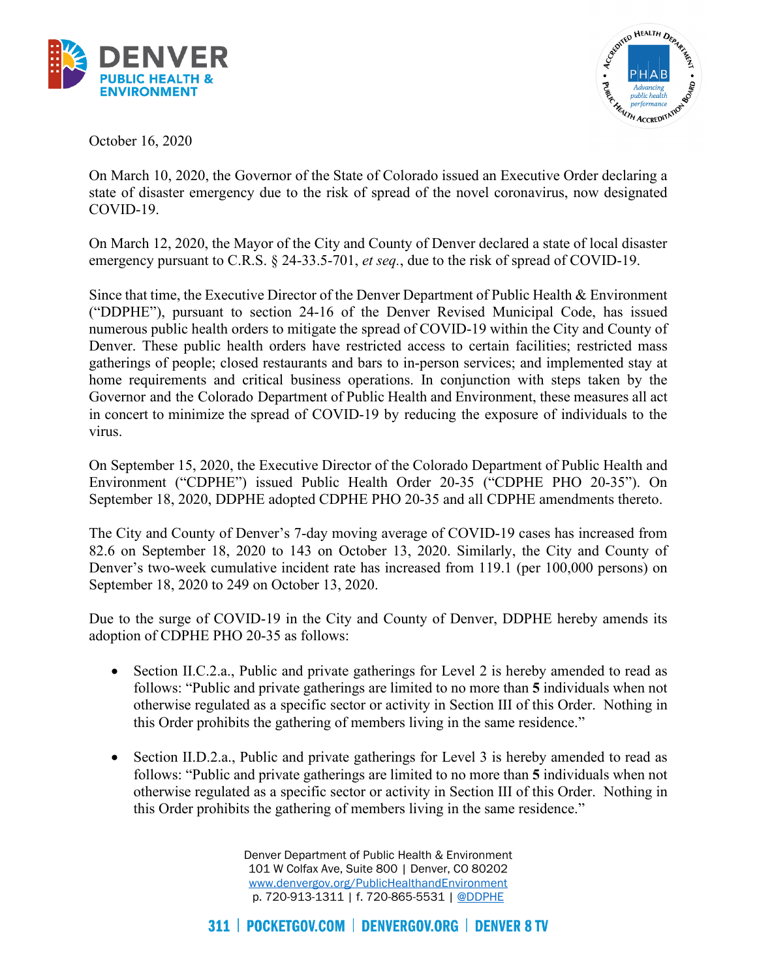



October 16, 2020

On March 10, 2020, the Governor of the State of Colorado issued an Executive Order declaring a state of disaster emergency due to the risk of spread of the novel coronavirus, now designated COVID-19.

On March 12, 2020, the Mayor of the City and County of Denver declared a state of local disaster emergency pursuant to C.R.S. § 24-33.5-701, *et seq.*, due to the risk of spread of COVID-19.

 Governor and the Colorado Department of Public Health and Environment, these measures all act in concert to minimize the spread of COVID-19 by reducing the exposure of individuals to the Since that time, the Executive Director of the Denver Department of Public Health & Environment ("DDPHE"), pursuant to section 24-16 of the Denver Revised Municipal Code, has issued numerous public health orders to mitigate the spread of COVID-19 within the City and County of Denver. These public health orders have restricted access to certain facilities; restricted mass gatherings of people; closed restaurants and bars to in-person services; and implemented stay at home requirements and critical business operations. In conjunction with steps taken by the virus.

On September 15, 2020, the Executive Director of the Colorado Department of Public Health and Environment ("CDPHE") issued Public Health Order 20-35 ("CDPHE PHO 20-35"). On September 18, 2020, DDPHE adopted CDPHE PHO 20-35 and all CDPHE amendments thereto.

The City and County of Denver's 7-day moving average of COVID-19 cases has increased from 82.6 on September 18, 2020 to 143 on October 13, 2020. Similarly, the City and County of Denver's two-week cumulative incident rate has increased from 119.1 (per 100,000 persons) on September 18, 2020 to 249 on October 13, 2020.

Due to the surge of COVID-19 in the City and County of Denver, DDPHE hereby amends its adoption of CDPHE PHO 20-35 as follows:

- Section II.C.2.a., Public and private gatherings for Level 2 is hereby amended to read as follows: "Public and private gatherings are limited to no more than **5** individuals when not otherwise regulated as a specific sector or activity in Section III of this Order. Nothing in this Order prohibits the gathering of members living in the same residence."
- • Section II.D.2.a., Public and private gatherings for Level 3 is hereby amended to read as follows: "Public and private gatherings are limited to no more than **5** individuals when not otherwise regulated as a specific sector or activity in Section III of this Order. Nothing in this Order prohibits the gathering of members living in the same residence."

Denver Department of Public Health & Environment 101 W Colfax Ave, Suite 800 | Denver, CO 80202 [www.denvergov.org/PublicHealthandEnvironment](http://www.denvergov.org/PublicHealthandEnvironment)  p. 720-913-1311 | f. 720-865-5531 | [@DDPHE](http://www.twitter.com/DDPHE)